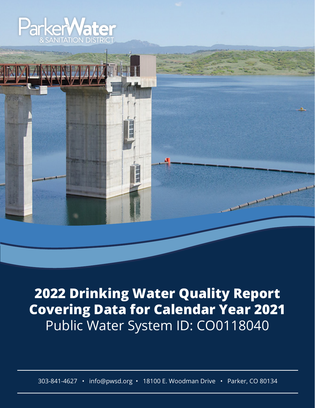



**2022 Drinking Water Quality Report Covering Data for Calendar Year 2021** Public Water System ID: CO0118040

303-841-4627 • info@pwsd.org • 18100 E. Woodman Drive • Parker, CO 80134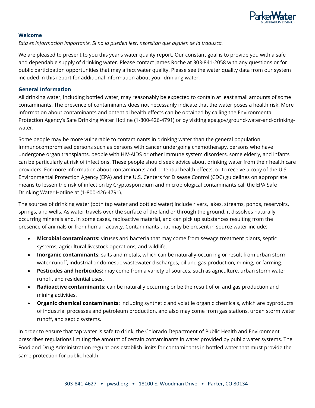

### **Welcome**

*Esta es información importante. Si no la pueden leer, necesitan que alguien se la traduzca.*

We are pleased to present to you this year's water quality report. Our constant goal is to provide you with a safe and dependable supply of drinking water. Please contact James Roche at 303-841-2058 with any questions or for public participation opportunities that may affect water quality. Please see the water quality data from our system included in this report for additional information about your drinking water.

#### **General Information**

All drinking water, including bottled water, may reasonably be expected to contain at least small amounts of some contaminants. The presence of contaminants does not necessarily indicate that the water poses a health risk. More information about contaminants and potential health effects can be obtained by calling the Environmental Protection Agency's Safe Drinking Water Hotline (1-800-426-4791) or by visiting epa.gov/ground-water-and-drinkingwater.

Some people may be more vulnerable to contaminants in drinking water than the general population. Immunocompromised persons such as persons with cancer undergoing chemotherapy, persons who have undergone organ transplants, people with HIV-AIDS or other immune system disorders, some elderly, and infants can be particularly at risk of infections. These people should seek advice about drinking water from their health care providers. For more information about contaminants and potential health effects, or to receive a copy of the U.S. Environmental Protection Agency (EPA) and the U.S. Centers for Disease Control (CDC) guidelines on appropriate means to lessen the risk of infection by Cryptosporidium and microbiological contaminants call the EPA Safe Drinking Water Hotline at (1-800-426-4791).

The sources of drinking water (both tap water and bottled water) include rivers, lakes, streams, ponds, reservoirs, springs, and wells. As water travels over the surface of the land or through the ground, it dissolves naturally occurring minerals and, in some cases, radioactive material, and can pick up substances resulting from the presence of animals or from human activity. Contaminants that may be present in source water include:

- **Microbial contaminants:** viruses and bacteria that may come from sewage treatment plants, septic systems, agricultural livestock operations, and wildlife.
- **Inorganic contaminants:** salts and metals, which can be naturally-occurring or result from urban storm water runoff, industrial or domestic wastewater discharges, oil and gas production, mining, or farming.
- **Pesticides and herbicides:** may come from a variety of sources, such as agriculture, urban storm water runoff, and residential uses.
- **Radioactive contaminants:** can be naturally occurring or be the result of oil and gas production and mining activities.
- **Organic chemical contaminants:** including synthetic and volatile organic chemicals, which are byproducts of industrial processes and petroleum production, and also may come from gas stations, urban storm water runoff, and septic systems.

In order to ensure that tap water is safe to drink, the Colorado Department of Public Health and Environment prescribes regulations limiting the amount of certain contaminants in water provided by public water systems. The Food and Drug Administration regulations establish limits for contaminants in bottled water that must provide the same protection for public health.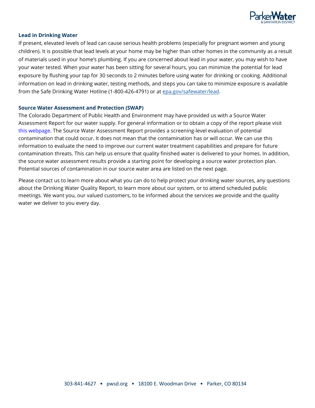

#### **Lead in Drinking Water**

If present, elevated levels of lead can cause serious health problems (especially for pregnant women and young children). It is possible that lead levels at your home may be higher than other homes in the community as a result of materials used in your home's plumbing. If you are concerned about lead in your water, you may wish to have your water tested. When your water has been sitting for several hours, you can minimize the potential for lead exposure by flushing your tap for 30 seconds to 2 minutes before using water for drinking or cooking. Additional information on lead in drinking water, testing methods, and steps you can take to minimize exposure is available from the Safe Drinking Water Hotline (1-800-426-4791) or at [epa.gov/safewater/lead.](http://www.epa.gov/safewater/lead)

#### **Source Water Assessment and Protection (SWAP)**

The Colorado Department of Public Health and Environment may have provided us with a Source Water Assessment Report for our water supply. For general information or to obtain a copy of the report please visit [this webpage.](https://cdphe.colorado.gov/water-quality/drinking-water-resources-for-water-systems/source-water-assessment-and-protection) The Source Water Assessment Report provides a screening-level evaluation of potential contamination that could occur. It does not mean that the contamination has or will occur. We can use this information to evaluate the need to improve our current water treatment capabilities and prepare for future contamination threats. This can help us ensure that quality finished water is delivered to your homes. In addition, the source water assessment results provide a starting point for developing a source water protection plan. Potential sources of contamination in our source water area are listed on the next page.

Please contact us to learn more about what you can do to help protect your drinking water sources, any questions about the Drinking Water Quality Report, to learn more about our system, or to attend scheduled public meetings. We want you, our valued customers, to be informed about the services we provide and the quality water we deliver to you every day.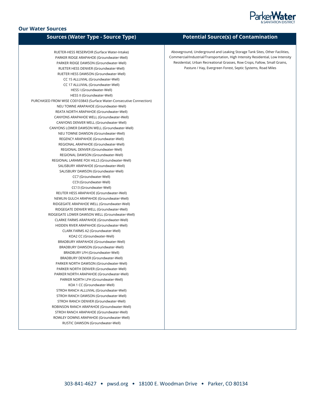

# **Our Water Sources**

| <b>Sources (Water Type - Source Type)</b>                            | P٥        |
|----------------------------------------------------------------------|-----------|
| RUETER-HESS RESERVOIR (Surface Water-Intake)                         | Abovegrou |
| PARKER RIDGE ARAPAHOE (Groundwater-Well)                             | Commercia |
| PARKER RIDGE DAWSON (Groundwater-Well)                               | Residenti |
| RUETER HESS DENVER (Groundwater-Well)                                | Pa        |
| RUETER HESS DAWSON (Groundwater-Well)                                |           |
| CC 15 ALLUVIAL (Groundwater-Well)                                    |           |
| CC 17 ALLUVIAL (Groundwater-Well)                                    |           |
| HESS I (Groundwater-Well)                                            |           |
| HESS II (Groundwater-Well)                                           |           |
| PURCHASED FROM WISE CO0103843 (Surface Water-Consecutive Connection) |           |
| NEU TOWNE ARAPAHOE (Groundwater-Well)                                |           |
| REATA NORTH ARAPAHOE (Groundwater-Well)                              |           |
| CANYONS ARAPAHOE WELL (Groundwater-Well)                             |           |
| CANYONS DENVER WELL (Groundwater-Well)                               |           |
| CANYONS LOWER DAWSON WELL (Groundwater-Well)                         |           |
| NEU TOWNE DAWSON (Groundwater-Well)                                  |           |
| REGENCY ARAPAHOE (Groundwater-Well)                                  |           |
| REGIONAL ARAPAHOE (Groundwater-Well)                                 |           |
| REGIONAL DENVER (Groundwater-Well)                                   |           |
| REGIONAL DAWSON (Groundwater-Well)                                   |           |
| REGIONAL LARAMIE FOX HILLS (Groundwater-Well)                        |           |
| SALISBURY ARAPAHOE (Groundwater-Well)                                |           |
| SALISBURY DAWSON (Groundwater-Well)                                  |           |
| CC7 (Groundwater-Well)                                               |           |
| CC9 (Groundwater-Well)                                               |           |
| CC13 (Groundwater-Well)                                              |           |
| REUTER HESS ARAPAHOE (Groundwater-Well)                              |           |
| NEWLIN GULCH ARAPAHOE (Groundwater-Well)                             |           |
| RIDGEGATE ARAPAHOE WELL (Groundwater-Well)                           |           |
| RIDGEGATE DENVER WELL (Groundwater-Well)                             |           |
| RIDGEGATE LOWER DAWSON WELL (Groundwater-Well)                       |           |
| CLARKE FARMS ARAPAHOE (Groundwater-Well)                             |           |
| HIDDEN RIVER ARAPAHOE (Groundwater-Well)                             |           |
| CLARK FARMS A2 (Groundwater-Well)                                    |           |
| KOA2 CC (Groundwater-Well)                                           |           |
| BRADBURY ARAPAHOE (Groundwater-Well)                                 |           |
| BRADBURY DAWSON (Groundwater-Well)                                   |           |
| BRADBURY LFH (Groundwater-Well)                                      |           |
| BRADBURY DENVER (Groundwater-Well)                                   |           |
| PARKER NORTH DAWSON (Groundwater-Well)                               |           |
| PARKER NORTH DENVER (Groundwater-Well)                               |           |
| PARKER NORTH ARAPAHOE (Groundwater-Well)                             |           |
| PARKER NORTH LFH (Groundwater-Well)                                  |           |
| KOA 1 CC (Groundwater-Well)                                          |           |
| STROH RANCH ALLUVIAL (Groundwater-Well)                              |           |
| STROH RANCH DAWSON (Groundwater-Well)                                |           |
| STROH RANCH DENVER (Groundwater-Well)                                |           |
| ROBINSON RANCH ARAPAHOE (Groundwater-Well)                           |           |
| STROH RANCH ARAPAHOE (Groundwater-Well)                              |           |
| ROWLEY DOWNS ARAPAHOE (Groundwater-Well)                             |           |
| RUSTIC DAWSON (Groundwater-Well)                                     |           |
|                                                                      |           |

# **Sources (Water Type - Source Type) Potential Source(s) of Contamination**

and, Underground and Leaking Storage Tank Sites, Other Facilities, l/Industrial/Transportation, High Intensity Residential, Low Intensity ial, Urban Recreational Grasses, Row Crops, Fallow, Small Grains, asture / Hay, Evergreen Forest, Septic Systems, Road Miles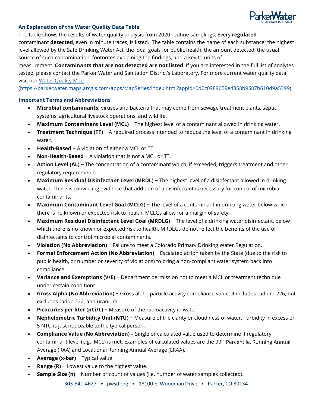

## **An Explanation of the Water Quality Data Table**

The table shows the results of water quality analysis from 2020 routine samplings. Every **regulated**  contaminant **detected**, even in minute traces, is listed. The table contains the name of each substance; the highest level allowed by the Safe Drinking Water Act, the ideal goals for public health, the amount detected, the usual source of such contamination, footnotes explaining the findings, and a key to units of

measurement. **Contaminants that are not detected are not listed**. If you are interested in the full list of analytes tested, please contact the Parker Water and Sanitation District's Laboratory. For more current water quality data visit our [Water Quality Map](https://parkerwater.maps.arcgis.com/apps/MapSeries/index.html?appid=0d0c0989659e4358b9587b610d9a5399)

[\(https://parkerwater.maps.arcgis.com/apps/MapSeries/index.html?appid=0d0c0989659e4358b9587b610d9a5399\)](https://parkerwater.maps.arcgis.com/apps/MapSeries/index.html?appid=0d0c0989659e4358b9587b610d9a5399).

## **Important Terms and Abbreviations**

- **Microbial contaminants:** viruses and bacteria that may come from sewage treatment plants, septic systems, agricultural livestock operations, and wildlife.
- **Maximum Contaminant Level (MCL)** − The highest level of a contaminant allowed in drinking water.
- **Treatment Technique (TT)** − A required process intended to reduce the level of a contaminant in drinking water.
- **Health-Based** − A violation of either a MCL or TT.
- **Non-Health-Based** − A violation that is not a MCL or TT.
- **Action Level (AL)** − The concentration of a contaminant which, if exceeded, triggers treatment and other regulatory requirements.
- **Maximum Residual Disinfectant Level (MRDL)** − The highest level of a disinfectant allowed in drinking water. There is convincing evidence that addition of a disinfectant is necessary for control of microbial contaminants.
- **Maximum Contaminant Level Goal (MCLG)** The level of a contaminant in drinking water below which there is no known or expected risk to health. MCLGs allow for a margin of safety.
- **Maximum Residual Disinfectant Level Goal (MRDLG)** − The level of a drinking water disinfectant, below which there is no known or expected risk to health. MRDLGs do not reflect the benefits of the use of disinfectants to control microbial contaminants.
- **Violation (No Abbreviation)** − Failure to meet a Colorado Primary Drinking Water Regulation.
- **Formal Enforcement Action (No Abbreviation)** − Escalated action taken by the State (due to the risk to public health, or number or severity of violations) to bring a non-compliant water system back into compliance.
- **Variance and Exemptions (V/E)** − Department permission not to meet a MCL or treatment technique under certain conditions.
- **Gross Alpha (No Abbreviation)** − Gross alpha particle activity compliance value. It includes radium-226, but excludes radon 222, and uranium.
- **Picocuries per liter (pCi/L)** − Measure of the radioactivity in water.
- **Nephelometric Turbidity Unit (NTU)** − Measure of the clarity or cloudiness of water. Turbidity in excess of 5 NTU is just noticeable to the typical person.
- **Compliance Value (No Abbreviation)** Single or calculated value used to determine if regulatory contaminant level (e.g. MCL) is met. Examples of calculated values are the 90<sup>th</sup> Percentile, Running Annual Average (RAA) and Locational Running Annual Average (LRAA).
- **Average (x-bar)** − Typical value.
- **Range (R)** − Lowest value to the highest value.
- **Sample Size (n)** − Number or count of values (i.e. number of water samples collected).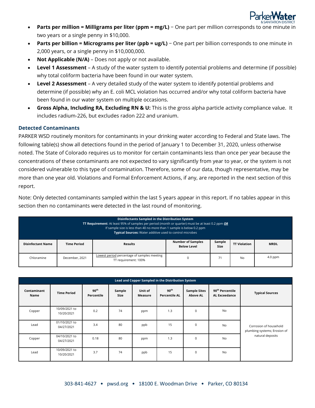

- **Parts per million = Milligrams per liter (ppm = mg/L)** One part per million corresponds to one minute in two years or a single penny in \$10,000.
- **Parts per billion = Micrograms per liter (ppb = ug/L)** − One part per billion corresponds to one minute in 2,000 years, or a single penny in \$10,000,000.
- **Not Applicable (N/A)** Does not apply or not available.
- **Level 1 Assessment** A study of the water system to identify potential problems and determine (if possible) why total coliform bacteria have been found in our water system.
- **Level 2 Assessment** A very detailed study of the water system to identify potential problems and determine (if possible) why an E. coli MCL violation has occurred and/or why total coliform bacteria have been found in our water system on multiple occasions.
- **Gross Alpha, Including RA, Excluding RN & U:** This is the gross alpha particle activity compliance value. It includes radium-226, but excludes radon 222 and uranium.

## **Detected Contaminants**

PARKER WSD routinely monitors for contaminants in your drinking water according to Federal and State laws. The following table(s) show all detections found in the period of January 1 to December 31, 2020, unless otherwise noted. The State of Colorado requires us to monitor for certain contaminants less than once per year because the concentrations of these contaminants are not expected to vary significantly from year to year, or the system is not considered vulnerable to this type of contamination. Therefore, some of our data, though representative, may be more than one year old. Violations and Formal Enforcement Actions, if any, are reported in the next section of this report.

Note: Only detected contaminants sampled within the last 5 years appear in this report. If no tables appear in this section then no contaminants were detected in the last round of monitoring.

| Disinfectants Sampled in the Distribution System<br><b>TT Requirement:</b> At least 95% of samples per period (month or quarter) must be at least 0.2 ppm OR<br>If sample size is less than 40 no more than 1 sample is below 0.2 ppm<br>Typical Sources: Water additive used to control microbes |                    |                                                                     |                                                |                |                     |             |  |  |  |  |  |
|---------------------------------------------------------------------------------------------------------------------------------------------------------------------------------------------------------------------------------------------------------------------------------------------------|--------------------|---------------------------------------------------------------------|------------------------------------------------|----------------|---------------------|-------------|--|--|--|--|--|
| <b>Disinfectant Name</b>                                                                                                                                                                                                                                                                          | <b>Time Period</b> | <b>Results</b>                                                      | <b>Number of Samples</b><br><b>Below Level</b> | Sample<br>Size | <b>TT Violation</b> | <b>MRDL</b> |  |  |  |  |  |
| Chloramine                                                                                                                                                                                                                                                                                        | December, 2021     | Lowest period percentage of samples meeting<br>TT requirement: 100% | $4.0$ ppm<br>No                                |                |                     |             |  |  |  |  |  |

|                     | Lead and Copper Sampled in the Distribution System |                                |                |                    |                                          |                                        |                                                     |                                                        |  |  |  |  |  |
|---------------------|----------------------------------------------------|--------------------------------|----------------|--------------------|------------------------------------------|----------------------------------------|-----------------------------------------------------|--------------------------------------------------------|--|--|--|--|--|
| Contaminant<br>Name | <b>Time Period</b>                                 | 90 <sup>th</sup><br>Percentile | Sample<br>Size | Unit of<br>Measure | 90 <sup>th</sup><br><b>Percentile AL</b> | <b>Sample Sites</b><br><b>Above AL</b> | 90 <sup>th</sup> Percentile<br><b>AL Exceedance</b> | <b>Typical Sources</b>                                 |  |  |  |  |  |
| Copper              | 10/09/2021 to<br>10/20/2021                        | 0.2                            | 74             | ppm                | 1.3                                      | $\mathbf 0$                            | No                                                  |                                                        |  |  |  |  |  |
| Lead                | 01/10/2021 to<br>04/27/2021                        | 3.4                            | 80             | ppb                | 15                                       | $\mathbf 0$                            | No                                                  | Corrosion of household<br>plumbing systems; Erosion of |  |  |  |  |  |
| Copper              | 04/10/2021 to<br>04/27/2021                        | 0.18                           | 80             | ppm                | 1.3                                      | $\mathbf 0$                            | <b>No</b>                                           | natural deposits                                       |  |  |  |  |  |
| Lead                | 10/09/2021 to<br>10/20/2021                        | 3.7                            | 74             | ppb                | 15                                       | $\mathbf 0$                            | <b>No</b>                                           |                                                        |  |  |  |  |  |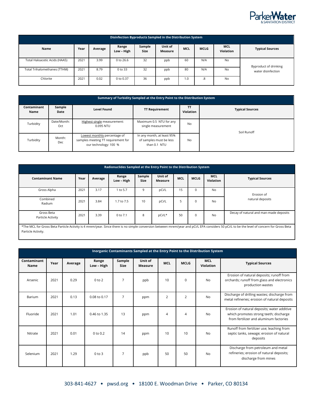

| Disinfection Byproducts Sampled in the Distribution System |      |         |                     |                       |                    |            |             |                                |                        |  |  |
|------------------------------------------------------------|------|---------|---------------------|-----------------------|--------------------|------------|-------------|--------------------------------|------------------------|--|--|
| Name                                                       | Year | Average | Range<br>Low - High | Sample<br><b>Size</b> | Unit of<br>Measure | <b>MCL</b> | <b>MCLG</b> | <b>MCL</b><br><b>Violation</b> | <b>Typical Sources</b> |  |  |
| Total Haloacetic Acids (HAA5)                              | 2021 | 3.99    | 0 to 26.6           | 32                    | ppb                | 60         | N/A         | <b>No</b>                      | Byproduct of drinking  |  |  |
| Total Trihalomethanes (TTHM)                               | 2021 | 8.79    | 0 to 33             | 32                    | ppb                | 80         | N/A         | <b>No</b>                      | water disinfection     |  |  |
| Chlorite                                                   | 2021 | 0.02    | 0 to 0.37           | 36                    | ppb                | 1.0        | .8          | <b>No</b>                      |                        |  |  |

|                     | Summary of Turbidity Sampled at the Entry Point to the Distribution System |                                                                                             |                                                                       |                        |                        |  |  |  |  |  |  |  |  |
|---------------------|----------------------------------------------------------------------------|---------------------------------------------------------------------------------------------|-----------------------------------------------------------------------|------------------------|------------------------|--|--|--|--|--|--|--|--|
| Contaminant<br>Name | Sample<br>Date                                                             | <b>Level Found</b>                                                                          | <b>TT Requirement</b>                                                 | <b>TT</b><br>Violation | <b>Typical Sources</b> |  |  |  |  |  |  |  |  |
| Turbidity           | Date/Month:<br>Oct                                                         | Highest single measurement:<br>0.095 NTU                                                    | Maximum 0.5 NTU for any<br>single measurement                         | <b>No</b>              | Soil Runoff            |  |  |  |  |  |  |  |  |
| Turbidity           | Month:<br>Dec                                                              | Lowest monthly percentage of<br>samples meeting TT requirement for<br>our technology: 100 % | In any month, at least 95%<br>of samples must be less<br>than 0.1 NTU | <b>No</b>              |                        |  |  |  |  |  |  |  |  |

| Radionuclides Sampled at the Entry Point to the Distribution System |                                                                                                                                                                                            |         |                     |                       |                    |            |             |                                |                                        |  |  |
|---------------------------------------------------------------------|--------------------------------------------------------------------------------------------------------------------------------------------------------------------------------------------|---------|---------------------|-----------------------|--------------------|------------|-------------|--------------------------------|----------------------------------------|--|--|
| <b>Contaminant Name</b>                                             | Year                                                                                                                                                                                       | Average | Range<br>Low - High | Sample<br><b>Size</b> | Unit of<br>Measure | <b>MCL</b> | <b>MCLG</b> | <b>MCL</b><br><b>Violation</b> | <b>Typical Sources</b>                 |  |  |
| Gross Alpha                                                         | 2021                                                                                                                                                                                       | 3.17    | to 5.7              | q                     | pCi/L              | 15         | 0           | No                             | Erosion of                             |  |  |
| Combined<br>Radium                                                  | 2021                                                                                                                                                                                       | 3.84    | 1.7 to 7.5          | 10                    | pCi/L              |            | 0           | <b>No</b>                      | natural deposits                       |  |  |
| Gross Beta<br>Particle Activity                                     | 2021                                                                                                                                                                                       | 3.39    | 0 to 7.1            | 8                     | pCi/L*             | 50         | 0           | No                             | Decay of natural and man-made deposits |  |  |
|                                                                     | *The MCL for Gross Beta Particle Activity is 4 mrem/year. Since there is no simple conversion between mrem/year and pCi/L EPA considers 50 pCi/L to be the level of concern for Gross Beta |         |                     |                       |                    |            |             |                                |                                        |  |  |

Particle Activity.

|                            | Inorganic Contaminants Sampled at the Entry Point to the Distribution System |         |                     |                       |                           |            |                |                                |                                                                                                                                 |  |  |  |
|----------------------------|------------------------------------------------------------------------------|---------|---------------------|-----------------------|---------------------------|------------|----------------|--------------------------------|---------------------------------------------------------------------------------------------------------------------------------|--|--|--|
| Contaminant<br><b>Name</b> | Year                                                                         | Average | Range<br>Low - High | Sample<br><b>Size</b> | Unit of<br><b>Measure</b> | <b>MCL</b> | <b>MCLG</b>    | <b>MCL</b><br><b>Violation</b> | <b>Typical Sources</b>                                                                                                          |  |  |  |
| Arsenic                    | 2021                                                                         | 0.29    | $0$ to $2$          | $\overline{7}$        | ppb                       | 10         | $\Omega$       | <b>No</b>                      | Erosion of natural deposits; runoff from<br>orchards; runoff from glass and electronics<br>production wastes                    |  |  |  |
| Barium                     | 2021                                                                         | 0.13    | 0.08 to 0.17        | $\overline{7}$        | ppm                       | 2          | $\overline{2}$ | No                             | Discharge of drilling wastes; discharge from<br>metal refineries; erosion of natural deposits                                   |  |  |  |
| Fluoride                   | 2021                                                                         | 1.01    | 0.46 to 1.35        | 13                    | ppm                       | 4          | $\overline{4}$ | <b>No</b>                      | Erosion of natural deposits; water additive<br>which promotes strong teeth; discharge<br>from fertilizer and aluminum factories |  |  |  |
| Nitrate                    | 2021                                                                         | 0.01    | 0 to 0.2            | 14                    | ppm                       | 10         | 10             | <b>No</b>                      | Runoff from fertilizer use; leaching from<br>septic tanks, sewage; erosion of natural<br>deposits                               |  |  |  |
| Selenium                   | 2021                                                                         | 1.29    | $0$ to $3$          | $\overline{7}$        | ppb                       | 50         | 50             | No                             | Discharge from petroleum and metal<br>refineries; erosion of natural deposits;<br>discharge from mines                          |  |  |  |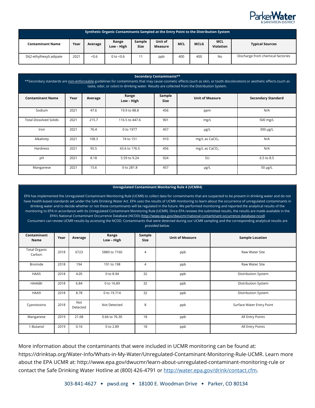

| Synthetic Organic Contaminants Sampled at the Entry Point to the Distribution System |      |         |                     |                       |                           |            |             |                                |                                   |  |
|--------------------------------------------------------------------------------------|------|---------|---------------------|-----------------------|---------------------------|------------|-------------|--------------------------------|-----------------------------------|--|
| <b>Contaminant Name</b>                                                              | Year | Average | Range<br>Low - High | Sample<br><b>Size</b> | Unit of<br><b>Measure</b> | <b>MCL</b> | <b>MCLG</b> | <b>MCL</b><br><b>Violation</b> | <b>Typical Sources</b>            |  |
| Di(2-ethylhexyl) adipate                                                             | 2021 | < 0.6   | 0 to $< 0.6$        |                       | ppb                       | 400        | 400         | No                             | Discharge from chemical factories |  |

| Secondary Contaminants**<br>**Secondary standards are non-enforceable guidelines for contaminants that may cause cosmetic effects (such as skin, or tooth discoloration) or aesthetic effects (such as<br>taste, odor, or color) in drinking water. Results are collected from the Distribution System. |      |         |                     |                       |                        |                           |  |  |  |  |  |
|---------------------------------------------------------------------------------------------------------------------------------------------------------------------------------------------------------------------------------------------------------------------------------------------------------|------|---------|---------------------|-----------------------|------------------------|---------------------------|--|--|--|--|--|
| <b>Contaminant Name</b>                                                                                                                                                                                                                                                                                 | Year | Average | Range<br>Low - High | Sample<br><b>Size</b> | <b>Unit of Measure</b> | <b>Secondary Standard</b> |  |  |  |  |  |
| Sodium                                                                                                                                                                                                                                                                                                  | 2021 | 47.6    | 19.9 to 88.8        | 456                   | ppm                    | N/A                       |  |  |  |  |  |
| <b>Total Dissolved Solids</b>                                                                                                                                                                                                                                                                           | 2021 | 215.7   | 116.5 to 447.6      | 901                   | mg/L                   | 500 mg/L                  |  |  |  |  |  |
| Iron                                                                                                                                                                                                                                                                                                    | 2021 | 76.4    | 0 to 1977           | 457                   | µg/L                   | 300 µg/L                  |  |  |  |  |  |
| Alkalinity                                                                                                                                                                                                                                                                                              | 2021 | 108.3   | 74 to 151           | 910                   | mg/L as $CaCO3$        | N/A                       |  |  |  |  |  |
| Hardness                                                                                                                                                                                                                                                                                                | 2021 | 95.5    | 43.6 to 176.5       | 456                   | mg/L as $CaCO3$        | N/A                       |  |  |  |  |  |
| pH                                                                                                                                                                                                                                                                                                      | 2021 | 8.18    | 5.59 to 9.24        | 924                   | SU                     | 6.5 to 8.5                |  |  |  |  |  |
| Manganese                                                                                                                                                                                                                                                                                               | 2021 | 15.6    | 0 to 281.8          | 457                   | µg/L                   | $50 \mu g/L$              |  |  |  |  |  |

#### **Unregulated Contaminant Monitoring Rule 4 (UCMR4)**

EPA has implemented the Unregulated Contaminant Monitoring Rule (UCMR) to collect data for contaminants that are suspected to be present in drinking water and do not have health-based standards set under the Safe Drinking Water Act. EPA uses the results of UCMR monitoring to learn about the occurrence of unregulated contaminants in drinking water and to decide whether or not these contaminants will be regulated in the future. We performed monitoring and reported the analytical results of the monitoring to EPA in accordance with its Unregulated Contaminant Monitoring Rule (UCMR). Once EPA reviews the submitted results, the results are made available in the EPA's National Contaminant Occurrence Database (NCOD) [\(http://www.epa.gov/dwucmr/national-contaminant-occurrence-database-ncod\)](http://www.epa.gov/dwucmr/national-contaminant-occurrence-database-ncod)  Consumers can review UCMR results by accessing the NCOD. Contaminants that were detected during our UCMR sampling and the corresponding analytical results are provided below. **Contaminant Name Year Average Range Low – High Sample Size Unit of Measure Sample Location** Total Organic Carbon <sup>2018</sup> <sup>6723</sup> 5880 to 7160 4 ppb Raw Water Site Bromide 2018 194 191 to 198 4 ppb Raw Water Site HAA5 2018 4.05 0 to 8.94 32 ppb Distribution System HAA6Br 2018 6.84 0 to 16.89 32 ppb Distribution System HAA9 2018 8.78 0 to 19.714 32 ppb Distribution System Cyanotoxins 2018 Not not Not Detected and B and B ppb and Surface Water Entry Point Detected and Surface Water Entry Point Manganese 2019 21.68 0.66 to 76.30 18 ppb All Entry Points 1-Butanol 2019 0.16 0 to 2.89 18 ppb All Entry Points

More information about the contaminants that were included in UCMR monitoring can be found at: https://drinktap.org/Water-Info/Whats-in-My-Water/Unregulated-Contaminant-Monitoring-Rule-UCMR. Learn more about the EPA UCMR at: http://www.epa.gov/dwucmr/learn-about-unregulated-contaminant-monitoring-rule or contact the Safe Drinking Water Hotline at (800) 426-4791 or [http://water.epa.gov/drink/contact.cfm.](http://water.epa.gov/drink/contact.cfm)